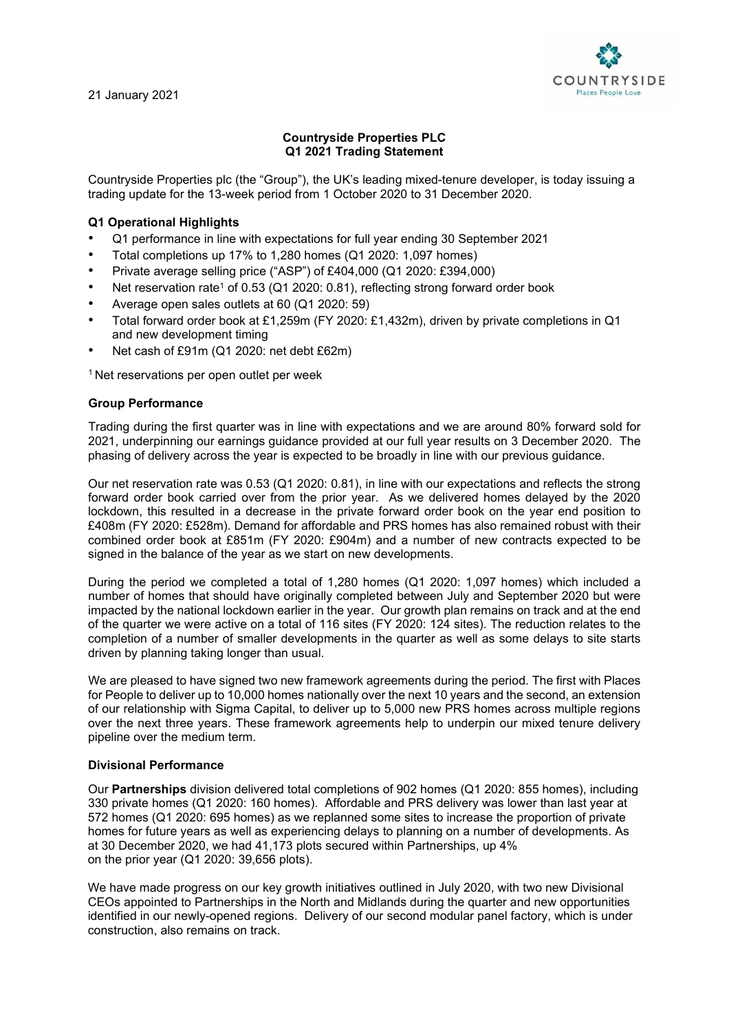21 January 2021



# **Countryside Properties PLC Q1 2021 Trading Statement**

Countryside Properties plc (the "Group"), the UK's leading mixed-tenure developer, is today issuing a trading update for the 13-week period from 1 October 2020 to 31 December 2020.

## **Q1 Operational Highlights**

- Q1 performance in line with expectations for full year ending 30 September 2021
- Total completions up 17% to 1,280 homes (Q1 2020: 1,097 homes)
- Private average selling price ("ASP") of £404,000 (Q1 2020: £394,000)
- Net reservation rate<sup>1</sup> of 0.53 (Q1 2020: 0.81), reflecting strong forward order book
- Average open sales outlets at 60 (Q1 2020: 59)
- Total forward order book at £1,259m (FY 2020: £1,432m), driven by private completions in Q1 and new development timing
- Net cash of £91m (Q1 2020: net debt £62m)

<sup>1</sup> Net reservations per open outlet per week

### **Group Performance**

Trading during the first quarter was in line with expectations and we are around 80% forward sold for 2021, underpinning our earnings guidance provided at our full year results on 3 December 2020. The phasing of delivery across the year is expected to be broadly in line with our previous guidance.

Our net reservation rate was 0.53 (Q1 2020: 0.81), in line with our expectations and reflects the strong forward order book carried over from the prior year. As we delivered homes delayed by the 2020 lockdown, this resulted in a decrease in the private forward order book on the year end position to £408m (FY 2020: £528m). Demand for affordable and PRS homes has also remained robust with their combined order book at £851m (FY 2020: £904m) and a number of new contracts expected to be signed in the balance of the year as we start on new developments.

During the period we completed a total of 1,280 homes (Q1 2020: 1,097 homes) which included a number of homes that should have originally completed between July and September 2020 but were impacted by the national lockdown earlier in the year. Our growth plan remains on track and at the end of the quarter we were active on a total of 116 sites (FY 2020: 124 sites). The reduction relates to the completion of a number of smaller developments in the quarter as well as some delays to site starts driven by planning taking longer than usual.

We are pleased to have signed two new framework agreements during the period. The first with Places for People to deliver up to 10,000 homes nationally over the next 10 years and the second, an extension of our relationship with Sigma Capital, to deliver up to 5,000 new PRS homes across multiple regions over the next three years. These framework agreements help to underpin our mixed tenure delivery pipeline over the medium term.

### **Divisional Performance**

Our **Partnerships** division delivered total completions of 902 homes (Q1 2020: 855 homes), including 330 private homes (Q1 2020: 160 homes). Affordable and PRS delivery was lower than last year at 572 homes (Q1 2020: 695 homes) as we replanned some sites to increase the proportion of private homes for future years as well as experiencing delays to planning on a number of developments. As at 30 December 2020, we had 41,173 plots secured within Partnerships, up 4% on the prior year (Q1 2020: 39,656 plots).

We have made progress on our key growth initiatives outlined in July 2020, with two new Divisional CEOs appointed to Partnerships in the North and Midlands during the quarter and new opportunities identified in our newly-opened regions. Delivery of our second modular panel factory, which is under construction, also remains on track.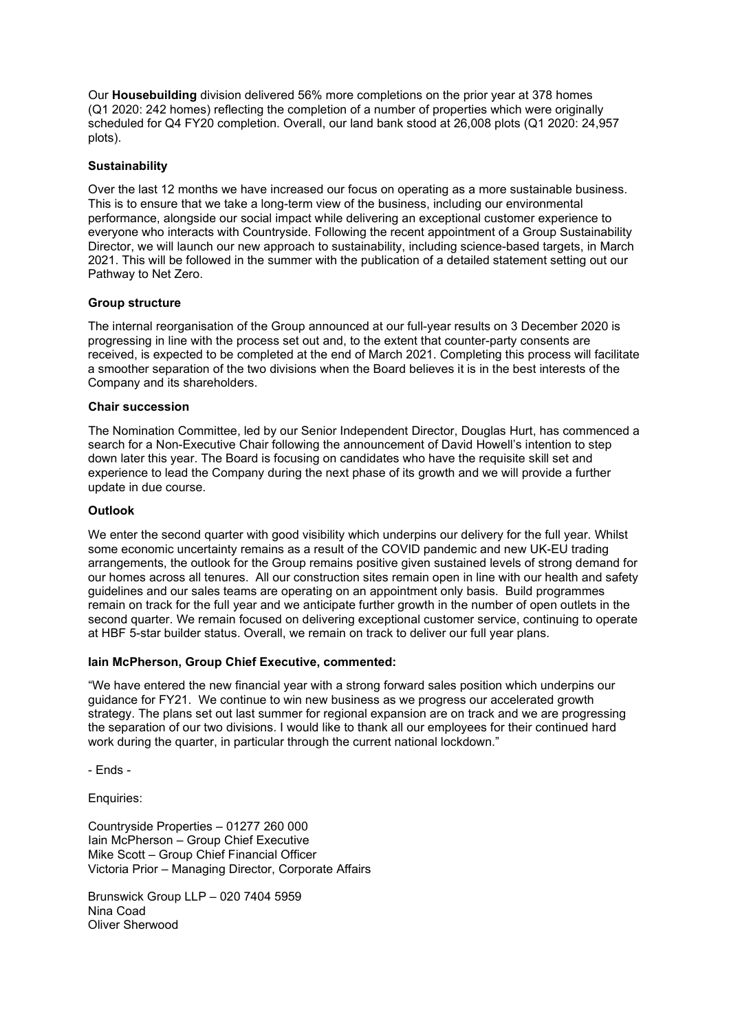Our **Housebuilding** division delivered 56% more completions on the prior year at 378 homes (Q1 2020: 242 homes) reflecting the completion of a number of properties which were originally scheduled for Q4 FY20 completion. Overall, our land bank stood at 26,008 plots (Q1 2020: 24,957 plots).

### **Sustainability**

Over the last 12 months we have increased our focus on operating as a more sustainable business. This is to ensure that we take a long-term view of the business, including our environmental performance, alongside our social impact while delivering an exceptional customer experience to everyone who interacts with Countryside. Following the recent appointment of a Group Sustainability Director, we will launch our new approach to sustainability, including science-based targets, in March 2021. This will be followed in the summer with the publication of a detailed statement setting out our Pathway to Net Zero.

### **Group structure**

The internal reorganisation of the Group announced at our full-year results on 3 December 2020 is progressing in line with the process set out and, to the extent that counter-party consents are received, is expected to be completed at the end of March 2021. Completing this process will facilitate a smoother separation of the two divisions when the Board believes it is in the best interests of the Company and its shareholders.

### **Chair succession**

The Nomination Committee, led by our Senior Independent Director, Douglas Hurt, has commenced a search for a Non-Executive Chair following the announcement of David Howell's intention to step down later this year. The Board is focusing on candidates who have the requisite skill set and experience to lead the Company during the next phase of its growth and we will provide a further update in due course.

### **Outlook**

We enter the second quarter with good visibility which underpins our delivery for the full year. Whilst some economic uncertainty remains as a result of the COVID pandemic and new UK-EU trading arrangements, the outlook for the Group remains positive given sustained levels of strong demand for our homes across all tenures. All our construction sites remain open in line with our health and safety guidelines and our sales teams are operating on an appointment only basis. Build programmes remain on track for the full year and we anticipate further growth in the number of open outlets in the second quarter. We remain focused on delivering exceptional customer service, continuing to operate at HBF 5-star builder status. Overall, we remain on track to deliver our full year plans.

### **Iain McPherson, Group Chief Executive, commented:**

"We have entered the new financial year with a strong forward sales position which underpins our guidance for FY21. We continue to win new business as we progress our accelerated growth strategy. The plans set out last summer for regional expansion are on track and we are progressing the separation of our two divisions. I would like to thank all our employees for their continued hard work during the quarter, in particular through the current national lockdown."

- Ends -

Enquiries:

Countryside Properties – 01277 260 000 Iain McPherson – Group Chief Executive Mike Scott – Group Chief Financial Officer Victoria Prior – Managing Director, Corporate Affairs

Brunswick Group LLP – 020 7404 5959 Nina Coad Oliver Sherwood